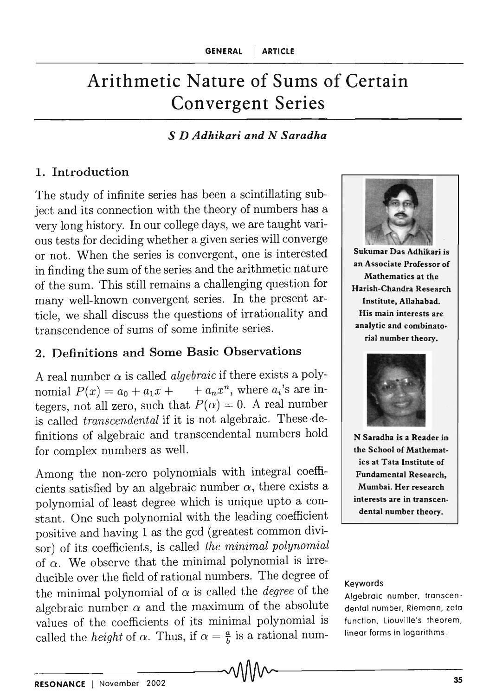# Arithmetic Nature of Sums of Certain Convergent Series

#### *S D Adhikari and N Saradha*

#### 1. Introduction

The study of infinite series has been a scintillating subject and its connection with the theory of numbers has a very long history. In our college days, we are taught various tests for deciding whether a given series will converge or not. When the series is convergent, one is interested in finding the sum of the series and the arithmetic nature of the sum. This still remains a challenging question for many well-known convergent series. In the present article, we shall discuss the questions of irrationality and transcendence of sums of some infinite series.

### 2. Definitions and Some Basic Observations

A real number  $\alpha$  is called *algebraic* if there exists a polynomial  $P(x) = a_0 + a_1x + a_nx^n$ , where  $a_i$ 's are integers, not all zero, such that  $P(\alpha) = 0$ . A real number is called *transcendental* if it is not algebraic. These ·definitions of algebraic and transcendental numbers hold for complex numbers as well.

Among the non-zero polynomials with integral coefficients satisfied by an algebraic number  $\alpha$ , there exists a polynomial of least degree which is unique upto a constant. One such polynomial with the leading coefficient positive and having 1 as the gcd (greatest common divisor) of its coefficients, is called *the minimal polynomial*  of  $\alpha$ . We observe that the minimal polynomial is irreducible over the field of rational numbers. The degree of the minimal polynomial of  $\alpha$  is called the *degree* of the algebraic number  $\alpha$  and the maximum of the absolute values of the coefficients of its minimal polynomial is called the *height* of  $\alpha$ . Thus, if  $\alpha = \frac{a}{b}$  is a rational num-



Sukumar Das Adhikari is an Associate Professor of Mathematics at the Harish-Chandra Research Institute, Allahabad. His main interests are analytic and combinatorial number theory.



N Saradha is a Reader in the School of Mathematics at Tata Institute of Fundamental Research, Mumbai. Her research interests are in transcendental number theory.

#### Keywords

Algebraic number, transcendental number, Riemann, zeta function, liouville's theorem, linear forms in logarithms .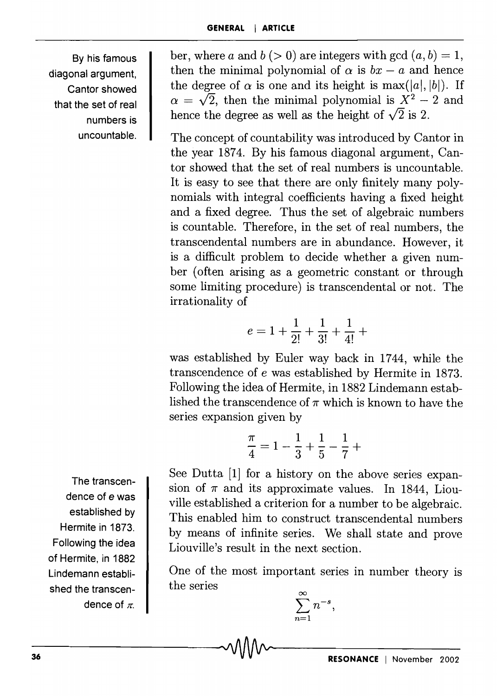By his famous diagonal argument, Cantor showed that the set of real numbers is uncountable.

ber, where *a* and  $b (> 0)$  are integers with gcd  $(a, b) = 1$ , then the minimal polynomial of  $\alpha$  is  $bx - a$  and hence the degree of  $\alpha$  is one and its height is  $max(|a|, |b|)$ . If  $\alpha = \sqrt{2}$ , then the minimal polynomial is  $X^2 - 2$  and hence the degree as well as the height of  $\sqrt{2}$  is 2.

The concept of countability was introduced by Cantor in the year 1874. By his famous diagonal argument, Cantor showed that the set of real numbers is uncountable. It is easy to see that there are only finitely many polynomials with integral coefficients having a fixed height and a fixed degree. Thus the set of algebraic numbers is countable. Therefore, in the set of real numbers, the transcendental numbers are in abundance. However, it is a difficult problem to decide whether a given number (often arising as a geometric constant or through some limiting procedure) is transcendental or not. The irrationality of

$$
e = 1 + \frac{1}{2!} + \frac{1}{3!} + \frac{1}{4!} +
$$

was established by Euler way back in 1744, while the transcendence of e was established by Hermite in 1873. Following the idea of Hermite, in 1882 Lindemann established the transcendence of  $\pi$  which is known to have the series expansion given by

in given by  
\n
$$
\frac{\pi}{4} = 1 - \frac{1}{3} + \frac{1}{5} - \frac{1}{7} + \frac{1}{12}
$$

See Dutta [1] for a history on the above series expansion of  $\pi$  and its approximate values. In 1844, Liouville established a criterion for a number to be algebraic. This enabled him to construct transcendental numbers by means of infinite series. We shall state and prove Liouville's result in the next section.

One of the most important series in number theory is the series  $\sum_{n=0}^{\infty} n^{-s}$ .

$$
\sum_{n=1}^{\infty} n^{-s},
$$

The transcendence of e was established by Hermite in 1873. Following the idea of Hermite, in 1882 Lindemann established the transcendence of  $\pi$ .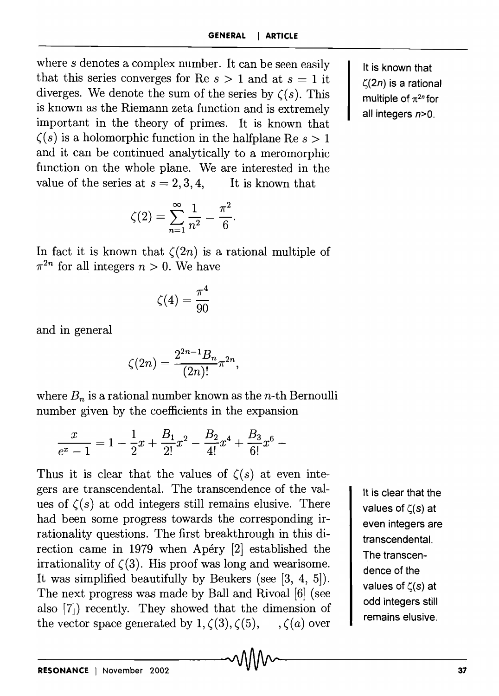where s denotes a complex number. It can be seen easily that this series converges for Re  $s > 1$  and at  $s = 1$  it diverges. We denote the sum of the series by  $\zeta(s)$ . This is known as the Riemann zeta function and is extremely important in the theory of primes. It is known that  $\zeta(s)$  is a holomorphic function in the halfplane Re  $s > 1$ and it can be continued analytically to a meromorphic function on the whole plane. We are interested in the value of the series at  $s = 2, 3, 4$ , It is known that

$$
\zeta(2) = \sum_{n=1}^{\infty} \frac{1}{n^2} = \frac{\pi^2}{6}.
$$

In fact it is known that  $\zeta(2n)$  is a rational multiple of  $\pi^{2n}$  for all integers  $n > 0$ . We have

$$
\zeta(4)=\frac{\pi^4}{90}
$$

and in general

$$
\zeta(2n) = \frac{2^{2n-1}B_n}{(2n)!} \pi^{2n},
$$

where  $B_n$  is a rational number known as the *n*-th Bernoulli

number given by the coefficients in the expansion  
\n
$$
\frac{x}{e^x - 1} = 1 - \frac{1}{2}x + \frac{B_1}{2!}x^2 - \frac{B_2}{4!}x^4 + \frac{B_3}{6!}x^6 -
$$

Thus it is clear that the values of  $\zeta(s)$  at even integers are transcendental. The transcendence of the values of  $\zeta(s)$  at odd integers still remains elusive. There had been some progress towards the corresponding irrationality questions. The first breakthrough in this direction came in 1979 when Apéry [2] established the irrationality of  $\zeta(3)$ . His proof was long and wearisome. It was simplified beautifully by Beukers (see [3, 4, 5]). The next progress was made by Ball and Rivoal [6] (see also [7]) recently. They showed that the dimension of the vector space generated by  $1, \zeta(3), \zeta(5), \ldots, \zeta(a)$  over

It is clear that the values of  $\zeta(s)$  at even integers are transcendental. The transcendence of the values of  $\zeta(s)$  at odd integers still remains elusive.

It is known that  $\zeta(2n)$  is a rational multiple of  $\pi^{2n}$  for all integers  $n>0$ .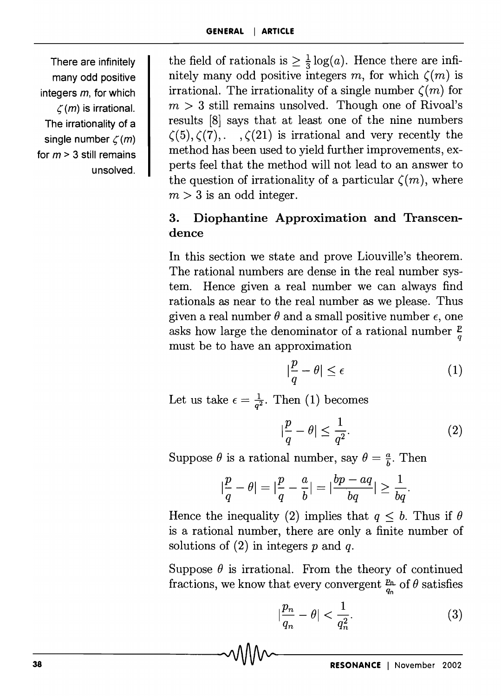There are infinitely many odd positive integers  $m$ , for which  $\zeta$ (*m*) is irrational. The irrationality of a single number  $\zeta(m)$ for  $m > 3$  still remains unsolved. the field of rationals is  $\geq \frac{1}{3} \log(a)$ . Hence there are infinitely many odd positive integers m, for which  $\zeta(m)$  is irrational. The irrationality of a single number  $\zeta(m)$  for  $m > 3$  still remains unsolved. Though one of Rivoal's results [8] says that at least one of the nine numbers  $\zeta(5), \zeta(7), \ldots, \zeta(21)$  is irrational and very recently the method has been used to yield further improvements, experts feel that the method will not lead to an answer to the question of irrationality of a particular  $\zeta(m)$ , where  $m > 3$  is an odd integer.

## 3. Diophantine Approximation and Transcendence

In this section we state and prove Liouville's theorem. The rational numbers are dense in the real number system. Hence given a real number we can always find rationals as near to the real number as we please. Thus given a real number  $\theta$  and a small positive number  $\epsilon$ , one asks how large the denominator of a rational number  $\frac{p}{q}$ must be to have an approximation

$$
\left|\frac{p}{q} - \theta\right| \le \epsilon \tag{1}
$$

Let us take  $\epsilon = \frac{1}{q^2}$ . Then (1) becomes

$$
|\frac{p}{q} - \theta| \le \frac{1}{q^2}.\tag{2}
$$

Suppose  $\theta$  is a rational number, say  $\theta = \frac{a}{b}$ . Then

$$
|\frac{p}{q}-\theta|=|\frac{p}{q}-\frac{a}{b}|=|\frac{bp-aq}{bq}|\geq\frac{1}{bq}.
$$

Hence the inequality (2) implies that  $q \leq b$ . Thus if  $\theta$ is a rational number, there are only a finite number of solutions of (2) in integers *p* and *q.* 

Suppose  $\theta$  is irrational. From the theory of continued fractions, we know that every convergent  $\frac{p_n}{q_n}$  of  $\theta$  satisfies

$$
\left|\frac{p_n}{q_n} - \theta\right| < \frac{1}{q_n^2}.\tag{3}
$$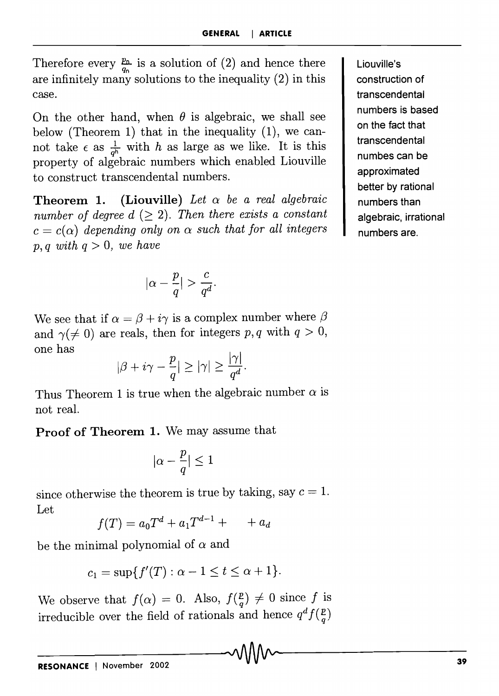Therefore every  $\frac{p_n}{q_n}$  is a solution of (2) and hence there are infinitely many solutions to the inequality (2) in this case.

On the other hand, when  $\theta$  is algebraic, we shall see below (Theorem 1) that in the inequality  $(1)$ , we cannot take  $\epsilon$  as  $\frac{1}{q^n}$  with *h* as large as we like. It is this property of algebraic numbers which enabled Liouville to construct transcendental numbers.

**Theorem 1.** (Liouville) Let  $\alpha$  be a real algebraic *number of degree d*  $(\geq 2)$ . *Then there exists a constant*  $c = c(\alpha)$  *depending only on*  $\alpha$  *such that for all integers*  $p, q$  with  $q > 0$ , we have

$$
|\alpha-\frac{p}{q}|>\frac{c}{q^d}.
$$

We see that if  $\alpha = \beta + i\gamma$  is a complex number where  $\beta$ and  $\gamma(\neq 0)$  are reals, then for integers p, q with  $q > 0$ , one has

$$
|\beta + i\gamma - \frac{p}{q}| \ge |\gamma| \ge \frac{|\gamma|}{q^d}.
$$

Thus Theorem 1 is true when the algebraic number  $\alpha$  is not real.

Proof of Theorem 1. We may assume that

$$
|\alpha-\frac{p}{q}|\leq 1
$$

since otherwise the theorem is true by taking, say  $c = 1$ . Let

$$
f(T) = a_0 T^d + a_1 T^{d-1} + \cdots + a_d
$$

be the minimal polynomial of  $\alpha$  and

$$
c_1=\sup\{f'(T):\alpha-1\leq t\leq\alpha+1\}.
$$

We observe that  $f(\alpha) = 0$ . Also,  $f(\frac{p}{q}) \neq 0$  since *f* is irreducible over the field of rationals and hence  $q^d f(\frac{p}{q})$ 

Liouville's construction of transcendental numbers is based on the fact that transcendental numbes can be approximated better by rational numbers than algebraic, irrational numbers are.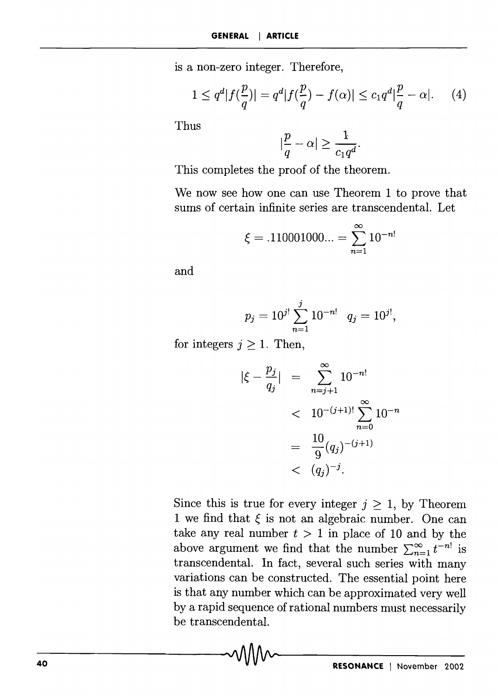is a non-zero integer. Therefore,

$$
1 \le q^d |f(\frac{p}{q})| = q^d |f(\frac{p}{q}) - f(\alpha)| \le c_1 q^d |\frac{p}{q} - \alpha|.
$$
 (4)

Thus

$$
|\frac{p}{q} - \alpha| \ge \frac{1}{c_1 q^d}.
$$

This completes the proof of the theorem.

We now see how one can use Theorem 1 to prove that sums of certain infinite series are transcendental. Let

$$
\xi = .110001000... = \sum_{n=1}^{\infty} 10^{-n!}
$$

and

$$
p_j = 10^{j!} \sum_{n=1}^j 10^{-n!} \quad q_j = 10^{j!},
$$

for integers  $j \geq 1$ . Then,

$$
|\xi - \frac{p_j}{q_j}| = \sum_{n=j+1}^{\infty} 10^{-n!}
$$
  
<  $10^{-(j+1)!} \sum_{n=0}^{\infty} 10^{-n}$   
 $= \frac{10}{9} (q_j)^{-(j+1)}$   
<  $(q_j)^{-j}.$ 

Since this is true for every integer  $j \geq 1$ , by Theorem 1 we find that  $\xi$  is not an algebraic number. One can take any real number  $t > 1$  in place of 10 and by the above argument we find that the number  $\sum_{n=1}^{\infty} t^{-n!}$  is transcendental. **In** fact, several such series with many variations can be constructed. The essential point here is that any number which can be approximated very well by a rapid sequence of rational numbers must necessarily be transcendental.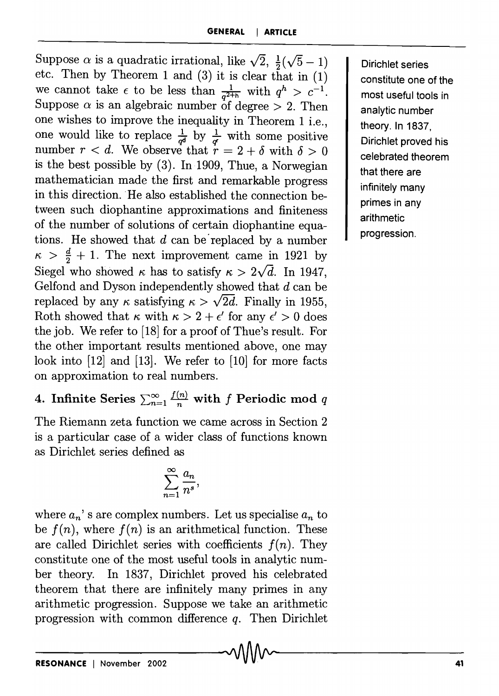Suppose  $\alpha$  is a quadratic irrational, like  $\sqrt{2}$ ,  $\frac{1}{2}(\sqrt{5}-1)$ etc. Then by Theorem 1 and (3) it is clear that in (1) we cannot take  $\epsilon$  to be less than  $\frac{1}{q^{2+h}}$  with  $q^h > c^{-1}$ . Suppose  $\alpha$  is an algebraic number of degree  $> 2$ . Then one wishes to improve the inequality in Theorem 1 i.e., one would like to replace  $\frac{1}{q^d}$  by  $\frac{1}{q^r}$  with some positive number  $r < d$ . We observe that  $r = 2 + \delta$  with  $\delta > 0$ is the best possible by (3). In 1909, Thue, a Norwegian mathematician made the first and remarkable progress in this direction. He also established the connection between such diophantine approximations and finiteness of the number of solutions of certain diophantine equations. He showed that *d* can be' replaced by a number  $\kappa > \frac{d}{2} + 1$ . The next improvement came in 1921 by Siegel who showed  $\kappa$  has to satisfy  $\kappa > 2\sqrt{d}$ . In 1947, Gelfond and Dyson independently showed that *d* can be replaced by any  $\kappa$  satisfying  $\kappa > \sqrt{2d}$ . Finally in 1955, Roth showed that  $\kappa$  with  $\kappa > 2 + \epsilon'$  for any  $\epsilon' > 0$  does the job. We refer to [18] for a proof of Thue's result. For the other important results mentioned above, one may look into [12] and [13]. We refer to [10] for more facts on approximation to real numbers.

Dirichlet series constitute one of the most useful tools in analytic number theory. In 1837, Dirichlet proved his celebrated theorem that there are infinitely many primes in any arithmetic progression.

4. Infinite Series  $\sum_{n=1}^{\infty} \frac{f(n)}{n}$  with f Periodic mod q

The Riemann zeta function we came across in Section 2 is a particular case of a wider class of functions known as Dirichlet series defined as

$$
\sum_{n=1}^\infty \frac{a_n}{n^s},
$$

where  $a_n$ 's are complex numbers. Let us specialise  $a_n$  to be  $f(n)$ , where  $f(n)$  is an arithmetical function. These are called Dirichlet series with coefficients  $f(n)$ . They constitute one of the most useful tools in analytic number theory. In 1837, Dirichlet proved his celebrated theorem that there are infinitely many primes in any arithmetic progression. Suppose we take an arithmetic progression with common difference  $q$ . Then Dirichlet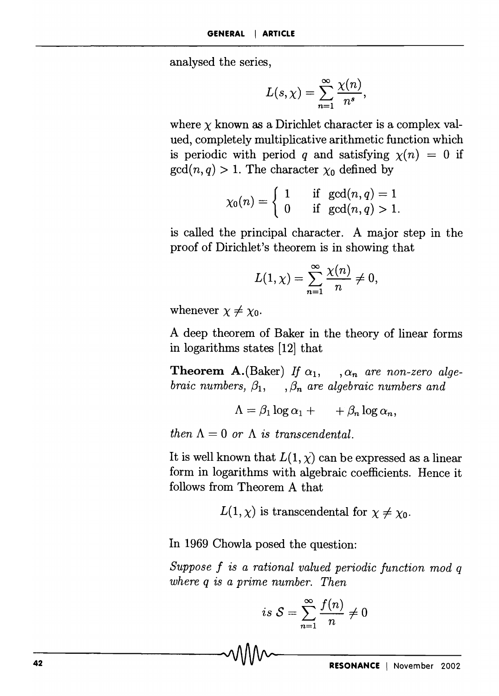analysed the series,

$$
L(s,\chi)=\sum_{n=1}^{\infty}\frac{\chi(n)}{n^s},
$$

where  $\chi$  known as a Dirichlet character is a complex valued, completely multiplicative arithmetic function which is periodic with period *q* and satisfying  $\chi(n) = 0$  if  $gcd(n, q) > 1$ . The character  $\chi_0$  defined by

$$
\chi_0(n) = \begin{cases} 1 & \text{if } \gcd(n,q) = 1 \\ 0 & \text{if } \gcd(n,q) > 1. \end{cases}
$$

is called the principal character. A major step in the proof of Dirichlet's theorem is in showing that

$$
L(1,\chi)=\sum_{n=1}^{\infty}\frac{\chi(n)}{n}\neq 0,
$$

whenever  $\chi \neq \chi_0$ .

A deep theorem of Baker in the theory of linear forms in logarithms states [12] that

**Theorem A.**(Baker) If  $\alpha_1$ , ,  $\alpha_n$  are non-zero alge*braic numbers,*  $\beta_1$ ,  $\beta_n$  *are algebraic numbers and* 

$$
\Lambda = \beta_1 \log \alpha_1 + \cdots + \beta_n \log \alpha_n,
$$

*then*  $\Lambda = 0$  *or*  $\Lambda$  *is transcendental.* 

It is well known that  $L(1, \chi)$  can be expressed as a linear form in logarithms with algebraic coefficients. Hence it follows from Theorem A that

 $L(1, \chi)$  is transcendental for  $\chi \neq \chi_0$ .

**In** 1969 Chowla posed the question:

*Suppose* f is *a rational valued periodic function mod q where q* is *a prime number. Then* 

$$
is S = \sum_{n=1}^{\infty} \frac{f(n)}{n} \neq 0
$$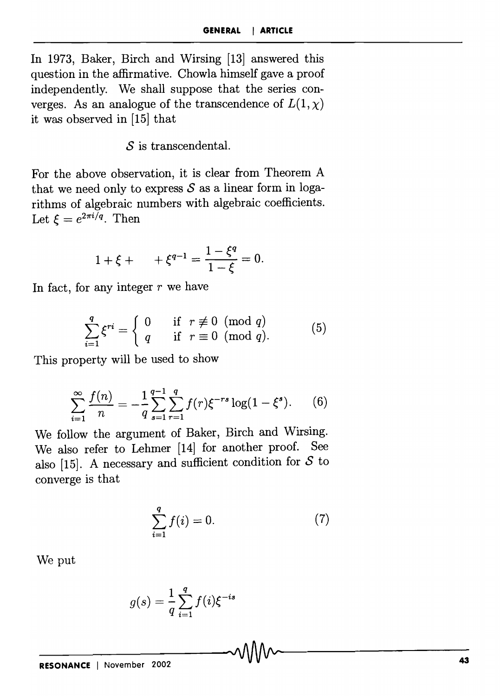In 1973, Baker, Birch and Wirsing [13] answered this question in the affirmative. Chowla himself gave a proof independently. We shall suppose that the series converges. As an analogue of the transcendence of  $L(1, \chi)$ it was observed in [15] that

S is transcendental.

For the above observation, it is clear from Theorem A that we need only to express  $S$  as a linear form in logarithms of algebraic numbers with algebraic coefficients. Let  $\xi = e^{2\pi i/q}$ . Then

$$
1+\xi + \qquad +\xi^{q-1} = \frac{1-\xi^q}{1-\xi} = 0.
$$

In fact, for any integer  $r$  we have

$$
\sum_{i=1}^{q} \xi^{ri} = \begin{cases} 0 & \text{if } r \not\equiv 0 \pmod{q} \\ q & \text{if } r \equiv 0 \pmod{q} .\end{cases}
$$
 (5)

This property will be used to show

$$
\sum_{i=1}^{\infty} \frac{f(n)}{n} = -\frac{1}{q} \sum_{s=1}^{q-1} \sum_{r=1}^{q} f(r) \xi^{-rs} \log(1 - \xi^s).
$$
 (6)

We follow the argument of Baker, Birch and Wirsing. We also refer to Lehmer [14] for another proof. See also [15]. A necessary and sufficient condition for *S* to converge is that

$$
\sum_{i=1}^{q} f(i) = 0.
$$
 (7)

We put

$$
g(s) = \frac{1}{q} \sum_{i=1}^q f(i) \xi^{-is}
$$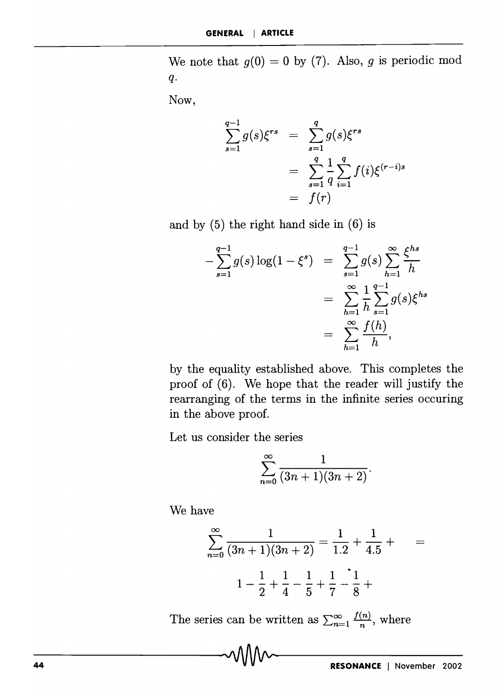We note that  $g(0) = 0$  by (7). Also, g is periodic mod *q.* 

Now,

$$
\sum_{s=1}^{q-1} g(s) \xi^{rs} = \sum_{s=1}^{q} g(s) \xi^{rs}
$$
  
= 
$$
\sum_{s=1}^{q} \frac{1}{q} \sum_{i=1}^{q} f(i) \xi^{(r-i)s}
$$
  
= 
$$
f(r)
$$

and by (5) the right hand side in (6) is

$$
-\sum_{s=1}^{q-1} g(s) \log(1-\xi^s) = \sum_{s=1}^{q-1} g(s) \sum_{h=1}^{\infty} \frac{\xi^{hs}}{h}
$$
  
= 
$$
\sum_{h=1}^{\infty} \frac{1}{h} \sum_{s=1}^{q-1} g(s) \xi^{hs}
$$
  
= 
$$
\sum_{h=1}^{\infty} \frac{f(h)}{h},
$$

by the equality established above. This completes the proof of (6). We hope that the reader will justify the rearranging of the terms in the infinite series occuring in the above proof.

Let us consider the series

$$
\sum_{n=0}^{\infty} \frac{1}{(3n+1)(3n+2)}.
$$

We have

$$
\sum_{n=0}^{\infty} \frac{1}{(3n+1)(3n+2)} = \frac{1}{1\cdot 2} + \frac{1}{4\cdot 5} + \qquad =
$$

$$
1 - \frac{1}{2} + \frac{1}{4} - \frac{1}{5} + \frac{1}{7} - \frac{1}{8} + \qquad \qquad
$$

The series can be written as  $\sum_{n=1}^{\infty} \frac{f(n)}{n}$ , where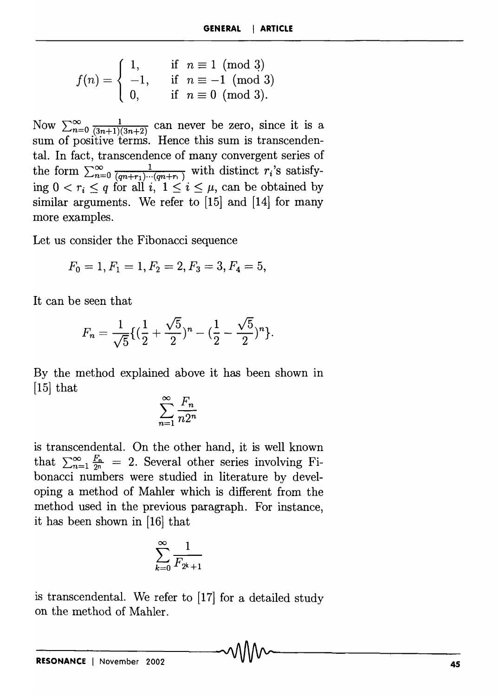$$
f(n) = \begin{cases} 1, & \text{if } n \equiv 1 \pmod{3} \\ -1, & \text{if } n \equiv -1 \pmod{3} \\ 0, & \text{if } n \equiv 0 \pmod{3}. \end{cases}
$$

Now  $\sum_{n=0}^{\infty} \frac{1}{(3n+1)(3n+2)}$  can never be zero, since it is a sum of positive terms. Hence this sum is transcendental. In fact, transcendence of many convergent series of the form  $\sum_{n=0}^{\infty} \frac{1}{(qn+r_1)\cdots(qn+r_n)}$  with distinct  $r_i$ 's satisfying  $0 < r_i \leq q$  for all  $i, 1 \leq i \leq \mu$ , can be obtained by similar arguments. We refer to [15] and [14] for many more examples.

Let us consider the Fibonacci sequence

$$
F_0 = 1, F_1 = 1, F_2 = 2, F_3 = 3, F_4 = 5,
$$

It can be seen that

$$
F_n = \frac{1}{\sqrt{5}} \{ (\frac{1}{2} + \frac{\sqrt{5}}{2})^n - (\frac{1}{2} - \frac{\sqrt{5}}{2})^n \}.
$$

By the method explained above it has been shown in  $[15]$  that

$$
\sum_{n=1}^{\infty} \frac{F_n}{n 2^n}
$$

is transcendental. On the other hand, it is well known that  $\sum_{n=1}^{\infty} \frac{F_n}{2^n} = 2$ . Several other series involving Fibonacci numbers were studied in literature by developing a method of Mahler which is different from the method used in the previous paragraph. For instance, it has been shown in [16] that

$$
\sum_{k=0}^{\infty} \frac{1}{F_{2^k+1}}
$$

is transcendental. We refer to [17] for a detailed study on the method of Mahler.